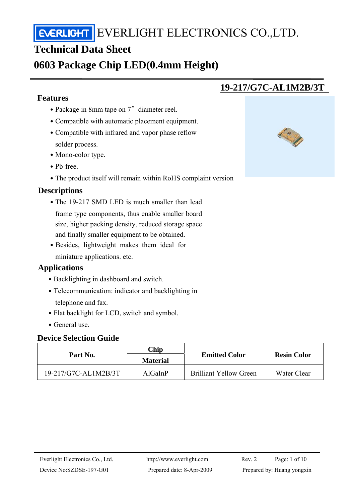## **Technical Data Sheet**

## **0603 Package Chip LED(0.4mm Height)**

## **Features**

j

- Package in 8mm tape on 7″ diameter reel.
- ․Compatible with automatic placement equipment.
- Compatible with infrared and vapor phase reflow solder process.
- Mono-color type.
- ․Pb-free.
- The product itself will remain within RoHS complaint version

## **Descriptions**

- The 19-217 SMD LED is much smaller than lead frame type components, thus enable smaller board size, higher packing density, reduced storage space and finally smaller equipment to be obtained.
- Besides, lightweight makes them ideal for miniature applications. etc.

## **Applications**

- Backlighting in dashboard and switch.
- Telecommunication: indicator and backlighting in telephone and fax.
- Flat backlight for LCD, switch and symbol.
- ․General use.

#### **Device Selection Guide**

| Part No.             | Chip<br><b>Material</b> | <b>Emitted Color</b>          | <b>Resin Color</b> |  |
|----------------------|-------------------------|-------------------------------|--------------------|--|
| 19-217/G7C-AL1M2B/3T | AlGaInP                 | <b>Brilliant Yellow Green</b> | Water Clear        |  |



**19-217/G7C-AL1M2B/3T**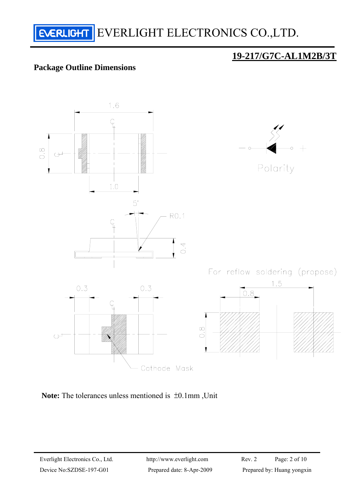

### **Package Outline Dimensions**



**Note:** The tolerances unless mentioned is ±0.1mm ,Unit

**19-217/G7C-AL1M2B/3T**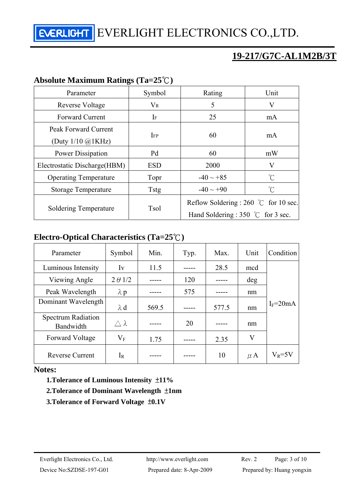## **19-217/G7C-AL1M2B/3T**

## **Absolute Maximum Ratings (Ta=25**℃**)**

| Parameter                                            | Symbol      | Rating                                                                                        | Unit                |  |
|------------------------------------------------------|-------------|-----------------------------------------------------------------------------------------------|---------------------|--|
| Reverse Voltage                                      | $V_{R}$     | 5                                                                                             | V                   |  |
| <b>Forward Current</b>                               | If          | 25                                                                                            | mA.                 |  |
| Peak Forward Current<br>(Duty $1/10$ $\omega$ ) KHz) | <b>IFP</b>  | 60                                                                                            | mA.                 |  |
| Power Dissipation                                    | Pd          | 60                                                                                            | mW                  |  |
| Electrostatic Discharge (HBM)                        | <b>ESD</b>  | 2000                                                                                          | V                   |  |
| <b>Operating Temperature</b>                         | Topr        | $-40 \sim +85$                                                                                | $\int_{0}^{\infty}$ |  |
| <b>Storage Temperature</b>                           | <b>Tstg</b> | $-40 \sim +90$                                                                                | °C                  |  |
| Soldering Temperature                                | <b>Tsol</b> | Reflow Soldering : 260 $\degree$ C for 10 sec.<br>Hand Soldering : 350 $\degree$ C for 3 sec. |                     |  |

## **Electro-Optical Characteristics (Ta=25**℃**)**

| Parameter                              | Symbol           | Min.  | Typ. | Max.  | Unit    | Condition    |
|----------------------------------------|------------------|-------|------|-------|---------|--------------|
| Luminous Intensity                     | Iv               | 11.5  |      | 28.5  | mcd     |              |
| Viewing Angle                          | $2 \theta$ 1/2   |       | 120  |       | deg     |              |
| Peak Wavelength                        | $\lambda$ p      |       | 575  |       | nm      |              |
| Dominant Wavelength                    | $\lambda$ d      | 569.5 |      | 577.5 | nm      | $I_F = 20mA$ |
| <b>Spectrum Radiation</b><br>Bandwidth | $\wedge \lambda$ |       | 20   |       | nm      |              |
| Forward Voltage                        | $\rm V_F$        | 1.75  |      | 2.35  | $\rm V$ |              |
| <b>Reverse Current</b>                 | $I_R$            |       |      | 10    | $\mu$ A | $V_R = 5V$   |

#### **Notes:**

 **1.Tolerance of Luminous Intensity** ±**11%** 

#### **2.Tolerance of Dominant Wavelength** ±**1nm**

 **3.Tolerance of Forward Voltage** ±**0.1V**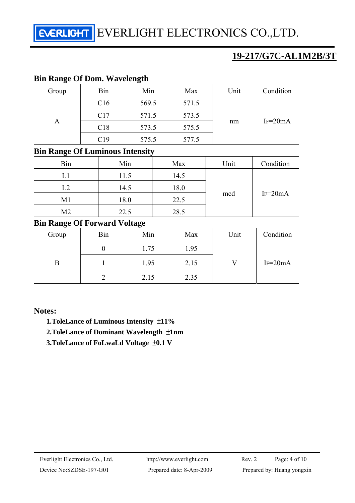## **19-217/G7C-AL1M2B/3T**

#### **Bin Range Of Dom. Wavelength**

| Group | Bin | Min   | Max   | Unit | Condition |  |
|-------|-----|-------|-------|------|-----------|--|
| A     | C16 | 569.5 | 571.5 |      |           |  |
|       | C17 | 571.5 | 573.5 | nm   | $IF=20mA$ |  |
|       | C18 | 573.5 | 575.5 |      |           |  |
|       | C19 | 575.5 | 577.5 |      |           |  |

#### **Bin Range Of Luminous Intensity**

| Bin            | Min  | Max  | Unit | Condition |
|----------------|------|------|------|-----------|
| L1             | 11.5 | 14.5 | mcd  | $IF=20mA$ |
| L2             | 14.5 | 18.0 |      |           |
| M1             | 18.0 | 22.5 |      |           |
| M <sub>2</sub> | 22.5 | 28.5 |      |           |

#### **Bin Range Of Forward Voltage**

| $\tilde{}$<br>Group | Bin | Min  | Max  | Unit | Condition |  |
|---------------------|-----|------|------|------|-----------|--|
| B                   |     | 1.75 | 1.95 |      |           |  |
|                     |     | 1.95 | 2.15 |      | $IF=20mA$ |  |
|                     |     | 2.15 | 2.35 |      |           |  |

#### **Notes:**

- **1.ToleLance of Luminous Intensity** ±**11%**
- **2.ToleLance of Dominant Wavelength** ±**1nm**
- **3.ToleLance of FoLwaLd Voltage** ±**0.1 V**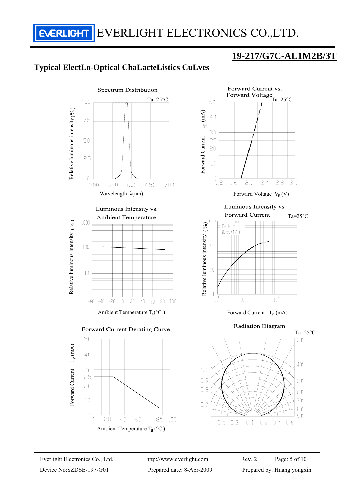**ERLIGHT** EVERLIGHT ELECTRONICS CO., LTD.

## **19-217/G7C-AL1M2B/3T**

## **Typical ElectLo-Optical ChaLacteListics CuLves**

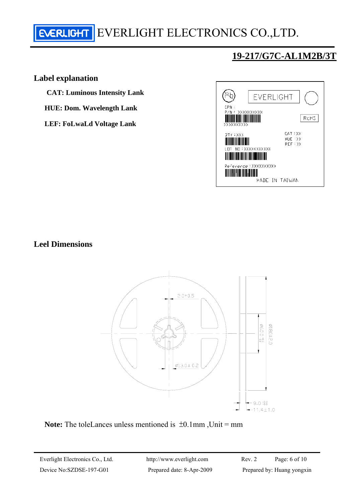## **19-217/G7C-AL1M2B/3T**

#### **Label explanation**

**CAT: Luminous Intensity Lank** 

**HUE: Dom. Wavelength Lank** 

**LEF: FoLwaLd Voltage Lank** 



**Leel Dimensions** 



Note: The toleLances unless mentioned is  $\pm 0.1$ mm, Unit = mm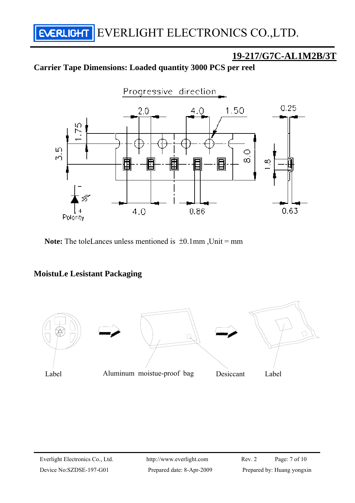## **19-217/G7C-AL1M2B/3T**

## **Carrier Tape Dimensions: Loaded quantity 3000 PCS per reel**



**Note:** The toleLances unless mentioned is  $\pm 0.1$ mm, Unit = mm

#### **MoistuLe Lesistant Packaging**

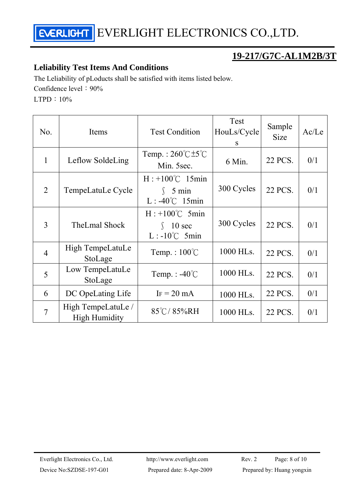

## **19-217/G7C-AL1M2B/3T**

#### **Leliability Test Items And Conditions**

The Leliability of pLoducts shall be satisfied with items listed below. Confidence level:  $90\%$ 

LTPD:10%

| No.            | Items                                      | <b>Test Condition</b>                                                 | Test<br>HouLs/Cycle<br>S | Sample<br><b>Size</b> | Ac/Le |
|----------------|--------------------------------------------|-----------------------------------------------------------------------|--------------------------|-----------------------|-------|
| $\mathbf{1}$   | Leflow SoldeLing                           | Temp.: $260^{\circ}$ C $\pm 5^{\circ}$ C<br>Min. 5sec.                | 6 Min.                   | 22 PCS.               | 0/1   |
| $\overline{2}$ | TempeLatuLe Cycle                          | $H: +100^{\circ}C$ 15min<br>$\int$ 5 min<br>$L: -40^{\circ}C$ 15min   | 300 Cycles               | 22 PCS.               | 0/1   |
| 3              | TheLmal Shock                              | $H: +100^{\circ}C$ 5min<br>$10 \text{ sec}$<br>$L: -10^{\circ}C$ 5min | 300 Cycles               | 22 PCS.               | 0/1   |
| $\overline{4}$ | High TempeLatuLe<br>StoLage                | Temp.: $100^{\circ}$ C                                                | 1000 HLs.                | 22 PCS.               | 0/1   |
| 5              | Low TempeLatuLe<br>StoLage                 | Temp. : $-40^{\circ}$ C                                               | 1000 HLs.                | 22 PCS.               | 0/1   |
| 6              | DC OpeLating Life                          | $IF = 20 mA$                                                          | 1000 HLs.                | 22 PCS.               | 0/1   |
| $\overline{7}$ | High TempeLatuLe /<br><b>High Humidity</b> | 85°C/85%RH                                                            | 1000 HLs.                | 22 PCS.               | 0/1   |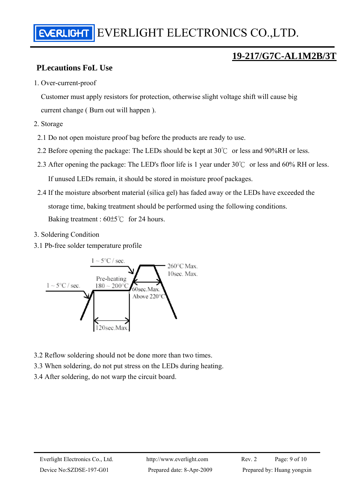## **19-217/G7C-AL1M2B/3T**

## **PLecautions FoL Use**

1. Over-current-proof

Customer must apply resistors for protection, otherwise slight voltage shift will cause big current change ( Burn out will happen ).

- 2. Storage
	- 2.1 Do not open moisture proof bag before the products are ready to use.
- 2.2 Before opening the package: The LEDs should be kept at 30℃ or less and 90%RH or less.
- 2.3 After opening the package: The LED's floor life is 1 year under 30℃ or less and 60% RH or less.

If unused LEDs remain, it should be stored in moisture proof packages.

- 2.4 If the moisture absorbent material (silica gel) has faded away or the LEDs have exceeded the storage time, baking treatment should be performed using the following conditions. Baking treatment : 60±5℃ for 24 hours.
- 3. Soldering Condition
- 3.1 Pb-free solder temperature profile



- 3.2 Reflow soldering should not be done more than two times.
- 3.3 When soldering, do not put stress on the LEDs during heating.
- 3.4 After soldering, do not warp the circuit board.